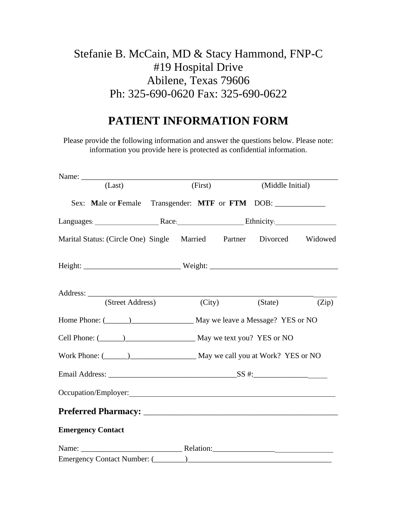## Stefanie B. McCain, MD & Stacy Hammond, FNP-C #19 Hospital Drive Abilene, Texas 79606 Ph: 325-690-0620 Fax: 325-690-0622

## **PATIENT INFORMATION FORM**

Please provide the following information and answer the questions below. Please note: information you provide here is protected as confidential information.

| Name:                                                                     |                                                                                   |  |         |        |         |                  |  |
|---------------------------------------------------------------------------|-----------------------------------------------------------------------------------|--|---------|--------|---------|------------------|--|
| (Last)                                                                    |                                                                                   |  | (First) |        |         | (Middle Initial) |  |
|                                                                           | Sex: Male or Female Transgender: MTF or FTM DOB: ________________________________ |  |         |        |         |                  |  |
|                                                                           |                                                                                   |  |         |        |         |                  |  |
|                                                                           | Marital Status: (Circle One) Single Married Partner Divorced Widowed              |  |         |        |         |                  |  |
|                                                                           |                                                                                   |  |         |        |         |                  |  |
|                                                                           | Address:<br>(Street Address)                                                      |  |         | (City) | (State) | (Zip)            |  |
|                                                                           |                                                                                   |  |         |        |         |                  |  |
|                                                                           |                                                                                   |  |         |        |         |                  |  |
|                                                                           |                                                                                   |  |         |        |         |                  |  |
| Work Phone: (Channel Comparison 2014) May we call you at Work? YES or NO  |                                                                                   |  |         |        |         |                  |  |
|                                                                           |                                                                                   |  |         |        |         |                  |  |
|                                                                           |                                                                                   |  |         |        |         |                  |  |
|                                                                           |                                                                                   |  |         |        |         |                  |  |
|                                                                           | <b>Emergency Contact</b>                                                          |  |         |        |         |                  |  |
| Name: $\frac{1}{\sqrt{1-\frac{1}{2}}\cdot\frac{1}{\sqrt{1-\frac{1}{2}}}}$ |                                                                                   |  |         |        |         |                  |  |
|                                                                           |                                                                                   |  |         |        |         |                  |  |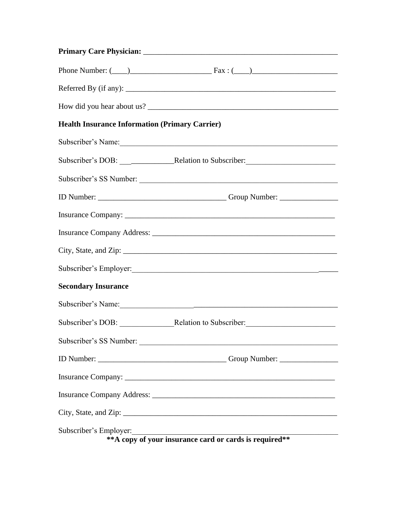|                                                       | Phone Number: $(\_\_)$                |
|-------------------------------------------------------|---------------------------------------|
|                                                       | Referred By (if any): $\qquad \qquad$ |
|                                                       |                                       |
| <b>Health Insurance Information (Primary Carrier)</b> |                                       |
|                                                       | Subscriber's Name:                    |
|                                                       |                                       |
|                                                       | Subscriber's SS Number:               |
|                                                       |                                       |
|                                                       |                                       |
|                                                       |                                       |
|                                                       |                                       |
|                                                       |                                       |
| <b>Secondary Insurance</b>                            |                                       |
|                                                       |                                       |
|                                                       |                                       |
|                                                       | Subscriber's SS Number:               |
|                                                       |                                       |
|                                                       |                                       |
|                                                       |                                       |
|                                                       |                                       |
| Subscriber's Employer:                                |                                       |